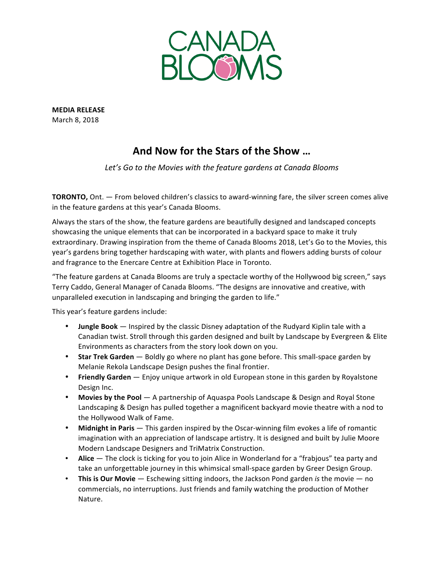

**MEDIA RELEASE** March 8, 2018

## And Now for the Stars of the Show ...

Let's Go to the Movies with the feature gardens at Canada Blooms

**TORONTO,** Ont. — From beloved children's classics to award-winning fare, the silver screen comes alive in the feature gardens at this year's Canada Blooms.

Always the stars of the show, the feature gardens are beautifully designed and landscaped concepts showcasing the unique elements that can be incorporated in a backyard space to make it truly extraordinary. Drawing inspiration from the theme of Canada Blooms 2018, Let's Go to the Movies, this year's gardens bring together hardscaping with water, with plants and flowers adding bursts of colour and fragrance to the Enercare Centre at Exhibition Place in Toronto.

"The feature gardens at Canada Blooms are truly a spectacle worthy of the Hollywood big screen," says Terry Caddo, General Manager of Canada Blooms. "The designs are innovative and creative, with unparalleled execution in landscaping and bringing the garden to life."

This year's feature gardens include:

- **Jungle Book** Inspired by the classic Disney adaptation of the Rudyard Kiplin tale with a Canadian twist. Stroll through this garden designed and built by Landscape by Evergreen & Elite Environments as characters from the story look down on you.
- Star Trek Garden Boldly go where no plant has gone before. This small-space garden by Melanie Rekola Landscape Design pushes the final frontier.
- Friendly Garden Enjoy unique artwork in old European stone in this garden by Royalstone Design Inc.
- Movies by the Pool  $-$  A partnership of Aquaspa Pools Landscape & Design and Royal Stone Landscaping & Design has pulled together a magnificent backyard movie theatre with a nod to the Hollywood Walk of Fame.
- Midnight in Paris This garden inspired by the Oscar-winning film evokes a life of romantic imagination with an appreciation of landscape artistry. It is designed and built by Julie Moore Modern Landscape Designers and TriMatrix Construction.
- Alice  $-$  The clock is ticking for you to join Alice in Wonderland for a "frabjous" tea party and take an unforgettable journey in this whimsical small-space garden by Greer Design Group.
- This is Our Movie Eschewing sitting indoors, the Jackson Pond garden *is* the movie no commercials, no interruptions. Just friends and family watching the production of Mother Nature.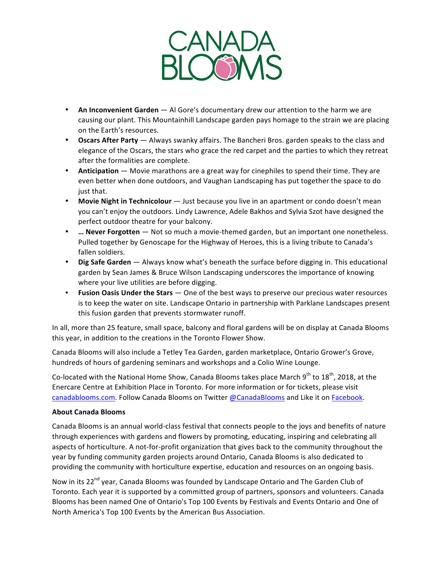

- An Inconvenient Garden Al Gore's documentary drew our attention to the harm we are causing our plant. This Mountainhill Landscape garden pays homage to the strain we are placing on the Earth's resources.
- **Oscars After Party** Always swanky affairs. The Bancheri Bros. garden speaks to the class and elegance of the Oscars, the stars who grace the red carpet and the parties to which they retreat after the formalities are complete.
- **Anticipation** Movie marathons are a great way for cinephiles to spend their time. They are even better when done outdoors, and Vaughan Landscaping has put together the space to do just that.
- Movie Night in Technicolour  $-$  Just because you live in an apartment or condo doesn't mean you can't enjoy the outdoors. Lindy Lawrence, Adele Bakhos and Sylvia Szot have designed the perfect outdoor theatre for your balcony.
- **…** Never Forgotten Not so much a movie-themed garden, but an important one nonetheless. Pulled together by Genoscape for the Highway of Heroes, this is a living tribute to Canada's fallen soldiers.
- Dig Safe Garden Always know what's beneath the surface before digging in. This educational garden by Sean James & Bruce Wilson Landscaping underscores the importance of knowing where your live utilities are before digging.
- **Fusion Oasis Under the Stars** One of the best ways to preserve our precious water resources is to keep the water on site. Landscape Ontario in partnership with Parklane Landscapes present this fusion garden that prevents stormwater runoff.

In all, more than 25 feature, small space, balcony and floral gardens will be on display at Canada Blooms this year, in addition to the creations in the Toronto Flower Show.

Canada Blooms will also include a Tetley Tea Garden, garden marketplace, Ontario Grower's Grove, hundreds of hours of gardening seminars and workshops and a Colio Wine Lounge.

Co-located with the National Home Show, Canada Blooms takes place March  $9^{th}$  to  $18^{th}$ , 2018, at the Enercare Centre at Exhibition Place in Toronto. For more information or for tickets, please visit canadablooms.com. Follow Canada Blooms on Twitter @CanadaBlooms and Like it on Facebook.

## **About Canada Blooms**

Canada Blooms is an annual world-class festival that connects people to the joys and benefits of nature through experiences with gardens and flowers by promoting, educating, inspiring and celebrating all aspects of horticulture. A not-for-profit organization that gives back to the community throughout the year by funding community garden projects around Ontario, Canada Blooms is also dedicated to providing the community with horticulture expertise, education and resources on an ongoing basis.

Now in its 22<sup>nd</sup> year, Canada Blooms was founded by Landscape Ontario and The Garden Club of Toronto. Each year it is supported by a committed group of partners, sponsors and volunteers. Canada Blooms has been named One of Ontario's Top 100 Events by Festivals and Events Ontario and One of North America's Top 100 Events by the American Bus Association.